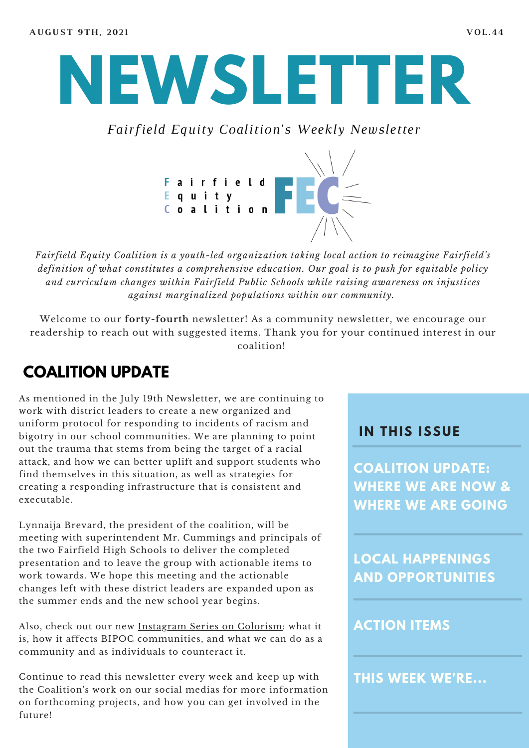

*Fairfield Equity Coalition's Weekly Newsletter*



*Fairfield Equity Coalition is a youth-led organization taking local action to reimagine Fairfield's definition of what constitutes a comprehensive education. Our goal is to push for equitable policy and curriculum changes within Fairfield Public Schools while raising awareness on injustices against marginalized populations within our community.*

Welcome to our **forty-fourth** newsletter! As a community newsletter, we encourage our readership to reach out with suggested items. Thank you for your continued interest in our coalition!

## **COALITION UPDATE**

As mentioned in the July 19th Newsletter, we are continuing to work with district leaders to create a new organized and uniform protocol for responding to incidents of racism and bigotry in our school communities. We are planning to point out the trauma that stems from being the target of a racial attack, and how we can better uplift and support students who find themselves in this situation, as well as strategies for creating a responding infrastructure that is consistent and executable.

Lynnaija Brevard, the president of the coalition, will be meeting with superintendent Mr. Cummings and principals of the two Fairfield High Schools to deliver the completed presentation and to leave the group with actionable items to work towards. We hope this meeting and the actionable changes left with these district leaders are expanded upon as the summer ends and the new school year begins.

Also, check out our new [Instagram](https://www.instagram.com/fairfieldequitycoalition/?hl=en) Series on Colorism: what it is, how it affects BIPOC communities, and what we can do as a community and as individuals to counteract it.

Continue to read this newsletter every week and keep up with the Coalition's work on our social medias for more information on forthcoming projects, and how you can get involved in the future!

#### **I N THIS ISSUE**

**COALITION UPDATE: WHERE WE ARE NOW & WHERE WE ARE GOING**

**LOCAL HAPPENINGS AND OPPORTUNITIES**

#### **ACTION ITEMS**

**THIS WEEK WE'RE...**